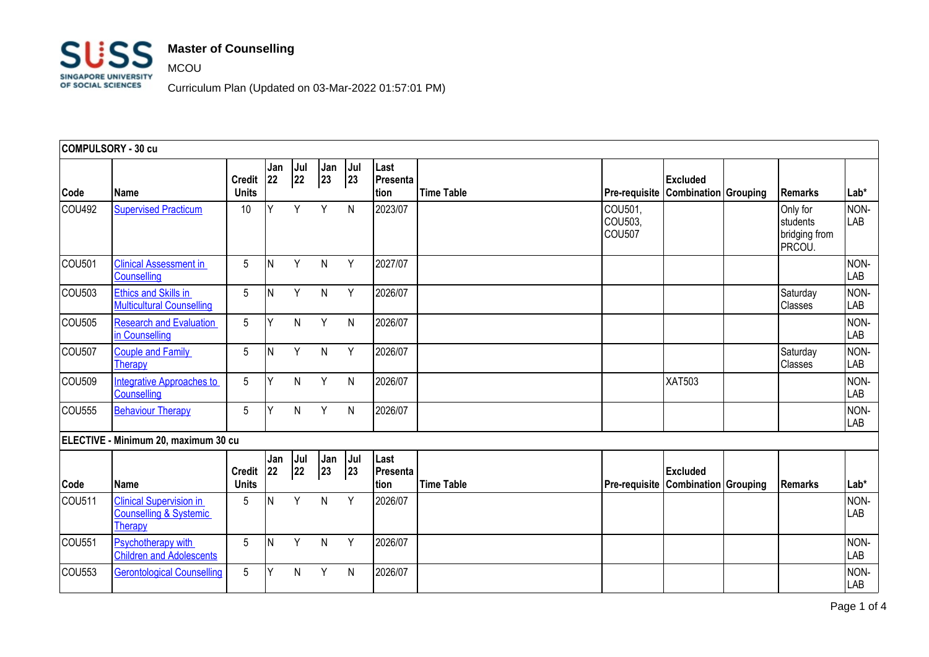

MCOU

Curriculum Plan (Updated on 03-Mar-2022 01:57:01 PM)

| COMPULSORY - 30 cu |                                                                                |                               |            |           |              |              |                          |                   |                                    |                 |                                                 |             |
|--------------------|--------------------------------------------------------------------------------|-------------------------------|------------|-----------|--------------|--------------|--------------------------|-------------------|------------------------------------|-----------------|-------------------------------------------------|-------------|
| Code               | Name                                                                           | <b>Credit</b><br><b>Units</b> | Jan<br> 22 | Jul<br>22 | Jan<br>23    | Jul<br> 23   | Last<br>Presenta<br>tion | <b>Time Table</b> | Pre-requisite Combination Grouping | Excluded        | <b>Remarks</b>                                  | Lab*        |
| COU492             | <b>Supervised Practicum</b>                                                    | 10                            | Y          | Y         | Y            | N            | 2023/07                  |                   | COU501,<br>COU503,<br>COU507       |                 | Only for<br>students<br>bridging from<br>PRCOU. | NON-<br>LAB |
| COU501             | <b>Clinical Assessment in</b><br>Counselling                                   | 5                             | ΙN         | Y         | N            | Y            | 2027/07                  |                   |                                    |                 |                                                 | NON-<br>LAB |
| COU503             | <b>Ethics and Skills in</b><br><b>Multicultural Counselling</b>                | 5                             | <b>N</b>   | Y         | N            | Y            | 2026/07                  |                   |                                    |                 | Saturday<br>Classes                             | NON-<br>LAB |
| COU505             | <b>Research and Evaluation</b><br>in Counselling                               | 5                             | lΥ         | N         | Y            | $\mathsf{N}$ | 2026/07                  |                   |                                    |                 |                                                 | NON-<br>LAB |
| COU <sub>507</sub> | <b>Couple and Family</b><br>Therapy                                            | 5                             | ΙN         | Y         | N            | Y            | 2026/07                  |                   |                                    |                 | Saturday<br>Classes                             | NON-<br>LAB |
| COU509             | Integrative Approaches to<br>Counselling                                       | 5                             | Y          | N         | Y            | $\mathsf{N}$ | 2026/07                  |                   |                                    | <b>XAT503</b>   |                                                 | NON-<br>LAB |
| COU555             | <b>Behaviour Therapy</b>                                                       | 5                             | Y          | N         | Y            | $\mathsf{N}$ | 2026/07                  |                   |                                    |                 |                                                 | NON-<br>LAB |
|                    | ELECTIVE - Minimum 20, maximum 30 cu                                           |                               |            |           |              |              |                          |                   |                                    |                 |                                                 |             |
| Code               | <b>Name</b>                                                                    | <b>Credit</b><br><b>Units</b> | Jan<br>22  | Jul<br>22 | Jan<br>23    | Jul<br> 23   | Last<br>Presenta<br>tion | <b>Time Table</b> | Pre-requisite Combination Grouping | <b>Excluded</b> | <b>Remarks</b>                                  | Lab*        |
| COU511             | <b>Clinical Supervision in</b><br><b>Counselling &amp; Systemic</b><br>Therapy | 5                             | <b>N</b>   | Y         | $\mathsf{N}$ | Y            | 2026/07                  |                   |                                    |                 |                                                 | NON-<br>LAB |
| COU <sub>551</sub> | <b>Psychotherapy with</b><br><b>Children and Adolescents</b>                   | 5                             | ΙN         | Y         | N            | Y            | 2026/07                  |                   |                                    |                 |                                                 | NON-<br>LAB |
| COU553             | <b>Gerontological Counselling</b>                                              | 5                             | Y          | N         | Y            | N            | 2026/07                  |                   |                                    |                 |                                                 | NON-<br>LAB |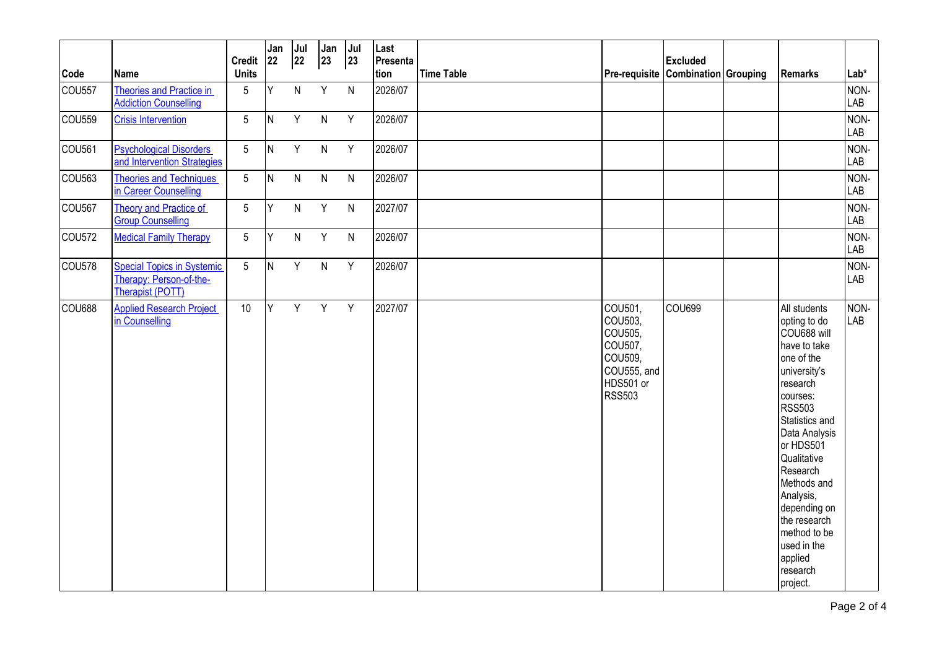|                    |                                                                                  | <b>Credit</b>   | Jan<br>22 | Jul<br> 22   | Jan<br>23    | Jul<br> 23   | Last<br>Presenta |                   |                                                                                           | <b>Excluded</b> |                                                                                                                                                                                                                                                                                                                                      |                    |
|--------------------|----------------------------------------------------------------------------------|-----------------|-----------|--------------|--------------|--------------|------------------|-------------------|-------------------------------------------------------------------------------------------|-----------------|--------------------------------------------------------------------------------------------------------------------------------------------------------------------------------------------------------------------------------------------------------------------------------------------------------------------------------------|--------------------|
| Code               | Name                                                                             | <b>Units</b>    |           |              |              |              | tion             | <b>Time Table</b> | Pre-requisite Combination Grouping                                                        |                 | Remarks                                                                                                                                                                                                                                                                                                                              | Lab*               |
| COU <sub>557</sub> | Theories and Practice in<br><b>Addiction Counselling</b>                         | 5               | Y         | N            | Y            | $\mathsf{N}$ | 2026/07          |                   |                                                                                           |                 |                                                                                                                                                                                                                                                                                                                                      | NON-<br>LAB        |
| COU559             | <b>Crisis Intervention</b>                                                       | 5               | IN.       | Y            | $\mathsf{N}$ | Y            | 2026/07          |                   |                                                                                           |                 |                                                                                                                                                                                                                                                                                                                                      | NON-<br>LAB        |
| COU561             | <b>Psychological Disorders</b><br>and Intervention Strategies                    | $5\overline{)}$ | IN.       | Y            | $\mathsf{N}$ | Y            | 2026/07          |                   |                                                                                           |                 |                                                                                                                                                                                                                                                                                                                                      | NON-<br><b>LAB</b> |
| COU563             | Theories and Techniques<br>in Career Counselling                                 | $5\overline{)}$ | IN.       | $\mathsf{N}$ | $\mathsf{N}$ | ${\sf N}$    | 2026/07          |                   |                                                                                           |                 |                                                                                                                                                                                                                                                                                                                                      | NON-<br>LAB        |
| COU <sub>567</sub> | <b>Theory and Practice of</b><br><b>Group Counselling</b>                        | $5\overline{)}$ | Y         | N            | Y            | ${\sf N}$    | 2027/07          |                   |                                                                                           |                 |                                                                                                                                                                                                                                                                                                                                      | NON-<br>LAB        |
| COU572             | <b>Medical Family Therapy</b>                                                    | 5               | Y         | N            | Y            | $\mathsf{N}$ | 2026/07          |                   |                                                                                           |                 |                                                                                                                                                                                                                                                                                                                                      | NON-<br>LAB        |
| COU578             | <b>Special Topics in Systemic</b><br>Therapy: Person-of-the-<br>Therapist (POTT) | $5\overline{)}$ | IN.       | Y            | $\mathsf{N}$ | Y            | 2026/07          |                   |                                                                                           |                 |                                                                                                                                                                                                                                                                                                                                      | NON-<br>LAB        |
| COU688             | <b>Applied Research Project</b><br>in Counselling                                | 10              | Y         | Y            | Y            | Y            | 2027/07          |                   | COU501,<br>COU503,<br>COU505,<br>COU507,<br>COU509,<br>COU555, and<br>HDS501 or<br>RSS503 | <b>COU699</b>   | All students<br>opting to do<br>COU688 will<br>have to take<br>one of the<br>university's<br>research<br>courses:<br>RSS503<br>Statistics and<br>Data Analysis<br>or HDS501<br>Qualitative<br>Research<br>Methods and<br>Analysis,<br>depending on<br>the research<br>method to be<br>used in the<br>applied<br>research<br>project. | NON-<br><b>LAB</b> |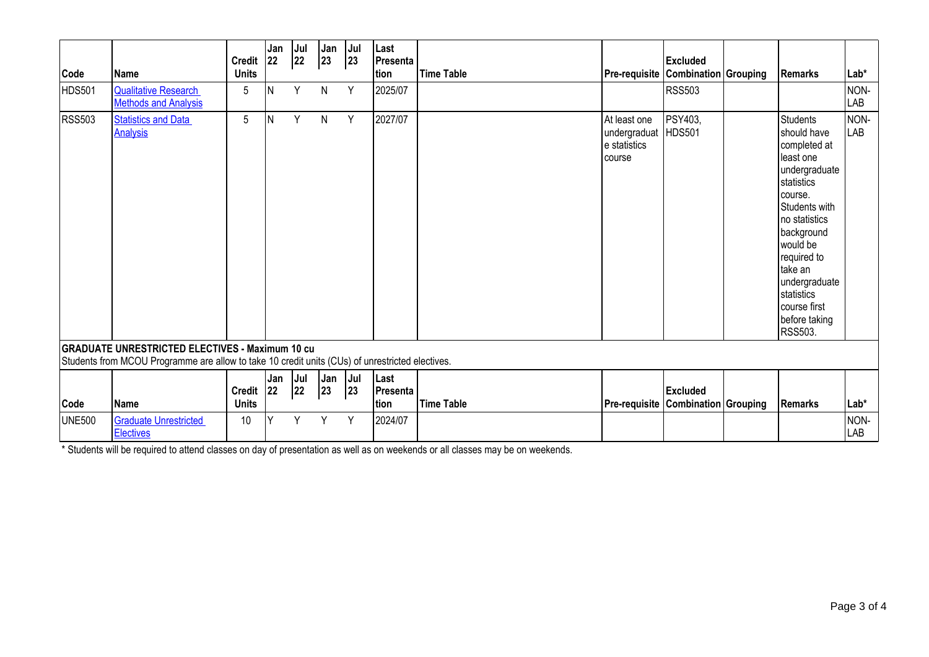|               |                                                                                                                                                           | <b>Credit</b>                 | Jan<br>22 | Jul<br>22 | Jan<br>23     | Jul<br>23 | Last<br>Presenta         |                   |                                                                | <b>Excluded</b> |                                                                                                                                                                                                                                                                               |             |
|---------------|-----------------------------------------------------------------------------------------------------------------------------------------------------------|-------------------------------|-----------|-----------|---------------|-----------|--------------------------|-------------------|----------------------------------------------------------------|-----------------|-------------------------------------------------------------------------------------------------------------------------------------------------------------------------------------------------------------------------------------------------------------------------------|-------------|
| Code          | <b>Name</b>                                                                                                                                               | <b>Units</b>                  |           |           |               |           | tion                     | <b>Time Table</b> | <b>Pre-requisite   Combination   Grouping</b>                  |                 | <b>Remarks</b>                                                                                                                                                                                                                                                                | Lab*        |
| HDS501        | <b>Qualitative Research</b><br><b>Methods and Analysis</b>                                                                                                | 5                             | ΙN        | Y         | N             | Y         | 2025/07                  |                   |                                                                | <b>RSS503</b>   |                                                                                                                                                                                                                                                                               | NON-<br>LAB |
| <b>RSS503</b> | <b>Statistics and Data</b><br><b>Analysis</b>                                                                                                             | 5                             | <b>N</b>  | Y         | $\mathsf{N}$  | Y         | 2027/07                  |                   | At least one<br>undergraduat HDS501<br>e statistics<br>Icourse | PSY403,         | <b>Students</b><br>should have<br>completed at<br>least one<br>undergraduate<br>statistics<br>course.<br>Students with<br>no statistics<br>background<br>would be<br>required to<br>take an<br>undergraduate<br>statistics<br>course first<br>before taking<br><b>RSS503.</b> | NON-<br>LAB |
|               | <b>GRADUATE UNRESTRICTED ELECTIVES - Maximum 10 cu</b><br>Students from MCOU Programme are allow to take 10 credit units (CUs) of unrestricted electives. |                               |           |           |               |           |                          |                   |                                                                |                 |                                                                                                                                                                                                                                                                               |             |
| Code          | <b>Name</b>                                                                                                                                               | Credit $ 22 $<br><b>Units</b> | Jan       | Jul<br>22 | Jan Jul<br>23 | 23        | Last<br>Presenta<br>tion | <b>Time Table</b> | <b>Pre-requisite Combination Grouping</b>                      | <b>Excluded</b> | Remarks                                                                                                                                                                                                                                                                       | Lab*        |
| <b>UNE500</b> | <b>Graduate Unrestricted</b><br><b>Electives</b>                                                                                                          | 10                            | $\vee$    | Υ         | Y             | Y         | 2024/07                  |                   |                                                                |                 |                                                                                                                                                                                                                                                                               | NON-<br>LAB |

\* Students will be required to attend classes on day of presentation as well as on weekends or all classes may be on weekends.